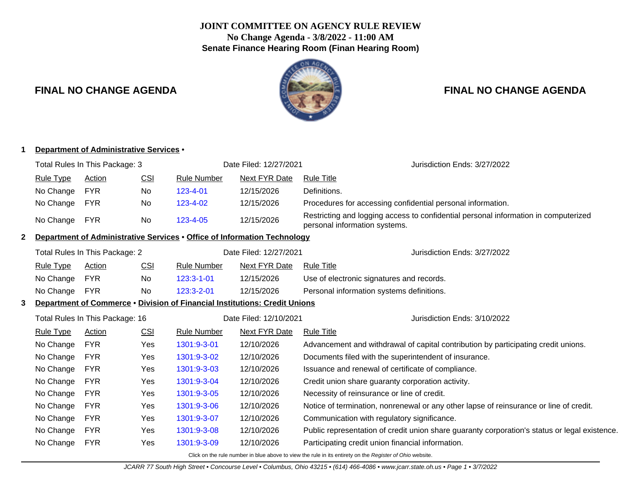# **JOINT COMMITTEE ON AGENCY RULE REVIEW No Change Agenda - 3/8/2022 - 11:00 AM Senate Finance Hearing Room (Finan Hearing Room)**



# **FINAL NO CHANGE AGENDA FINAL NO CHANGE AGENDA**

|              | Department of Administrative Services .                                           |                                                          |            |                                                                                 |                              |                                                                                                                      |  |  |
|--------------|-----------------------------------------------------------------------------------|----------------------------------------------------------|------------|---------------------------------------------------------------------------------|------------------------------|----------------------------------------------------------------------------------------------------------------------|--|--|
|              | Total Rules In This Package: 3                                                    |                                                          |            |                                                                                 | Date Filed: 12/27/2021       | Jurisdiction Ends: 3/27/2022                                                                                         |  |  |
|              | <b>Rule Type</b>                                                                  | <b>Action</b>                                            | <u>CSI</u> | <b>Rule Number</b>                                                              | <b>Next FYR Date</b>         | <b>Rule Title</b>                                                                                                    |  |  |
|              | No Change                                                                         | <b>FYR</b>                                               | No         | 123-4-01                                                                        | 12/15/2026                   | Definitions.                                                                                                         |  |  |
|              | No Change                                                                         | <b>FYR</b>                                               | No         | 123-4-02                                                                        | 12/15/2026                   | Procedures for accessing confidential personal information.                                                          |  |  |
|              | No Change                                                                         | <b>FYR</b>                                               | No         | 123-4-05                                                                        | 12/15/2026                   | Restricting and logging access to confidential personal information in computerized<br>personal information systems. |  |  |
| $\mathbf{2}$ |                                                                                   |                                                          |            | <b>Department of Administrative Services • Office of Information Technology</b> |                              |                                                                                                                      |  |  |
|              |                                                                                   | Date Filed: 12/27/2021<br>Total Rules In This Package: 2 |            |                                                                                 | Jurisdiction Ends: 3/27/2022 |                                                                                                                      |  |  |
|              | <b>Rule Type</b>                                                                  | <b>Action</b>                                            | CSI        | <b>Rule Number</b>                                                              | Next FYR Date                | <b>Rule Title</b>                                                                                                    |  |  |
|              | No Change                                                                         | <b>FYR</b>                                               | No         | 123:3-1-01                                                                      | 12/15/2026                   | Use of electronic signatures and records.                                                                            |  |  |
|              | No Change                                                                         | <b>FYR</b>                                               | No         | 123:3-2-01                                                                      | 12/15/2026                   | Personal information systems definitions.                                                                            |  |  |
| 3            | <b>Department of Commerce . Division of Financial Institutions: Credit Unions</b> |                                                          |            |                                                                                 |                              |                                                                                                                      |  |  |
|              | Total Rules In This Package: 16                                                   |                                                          |            | Date Filed: 12/10/2021                                                          | Jurisdiction Ends: 3/10/2022 |                                                                                                                      |  |  |
|              | <b>Rule Type</b>                                                                  | <b>CSI</b><br><b>Rule Number</b><br>Action               |            | Next FYR Date                                                                   | <b>Rule Title</b>            |                                                                                                                      |  |  |
|              | No Change                                                                         | <b>FYR</b>                                               | Yes        | 1301:9-3-01                                                                     | 12/10/2026                   | Advancement and withdrawal of capital contribution by participating credit unions.                                   |  |  |
|              | No Change                                                                         | <b>FYR</b>                                               | Yes        | 1301:9-3-02<br>12/10/2026                                                       |                              | Documents filed with the superintendent of insurance.                                                                |  |  |
|              | No Change                                                                         | <b>FYR</b>                                               | Yes        | 1301:9-3-03<br>12/10/2026                                                       |                              | Issuance and renewal of certificate of compliance.                                                                   |  |  |
|              | No Change                                                                         | <b>FYR</b>                                               | Yes        | 1301:9-3-04                                                                     | 12/10/2026                   | Credit union share guaranty corporation activity.                                                                    |  |  |
|              | No Change                                                                         | <b>FYR</b>                                               | Yes        | 1301:9-3-05                                                                     | 12/10/2026                   | Necessity of reinsurance or line of credit.                                                                          |  |  |
|              | No Change                                                                         | <b>FYR</b>                                               | Yes        | 1301:9-3-06                                                                     | 12/10/2026                   | Notice of termination, nonrenewal or any other lapse of reinsurance or line of credit.                               |  |  |
|              | No Change                                                                         | <b>FYR</b>                                               | Yes        | 1301:9-3-07                                                                     | 12/10/2026                   | Communication with regulatory significance.                                                                          |  |  |
|              | No Change                                                                         | <b>FYR</b>                                               | Yes        | 1301:9-3-08                                                                     | 12/10/2026                   | Public representation of credit union share guaranty corporation's status or legal existence.                        |  |  |
|              | No Change                                                                         | <b>FYR</b>                                               | Yes        | 1301:9-3-09                                                                     | 12/10/2026                   | Participating credit union financial information.                                                                    |  |  |
|              |                                                                                   |                                                          |            |                                                                                 |                              |                                                                                                                      |  |  |

Click on the rule number in blue above to view the rule in its entirety on the Register of Ohio website.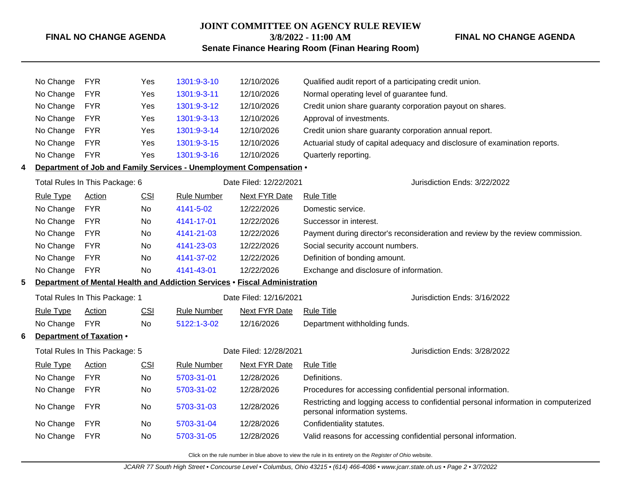### **FINAL NO CHANGE AGENDA**

## **JOINT COMMITTEE ON AGENCY RULE REVIEW 3/8/2022 - 11:00 AM**

**FINAL NO CHANGE AGENDA**

**Senate Finance Hearing Room (Finan Hearing Room)**

|                                | No Change                                                                  | <b>FYR</b>                                           | Yes        | 1301:9-3-10                                                         | 12/10/2026                   | Qualified audit report of a participating credit union.                                                              |  |
|--------------------------------|----------------------------------------------------------------------------|------------------------------------------------------|------------|---------------------------------------------------------------------|------------------------------|----------------------------------------------------------------------------------------------------------------------|--|
|                                | No Change                                                                  | <b>FYR</b>                                           | Yes        | 1301:9-3-11                                                         | 12/10/2026                   | Normal operating level of guarantee fund.                                                                            |  |
|                                | No Change                                                                  | <b>FYR</b>                                           | Yes        | 1301:9-3-12                                                         | 12/10/2026                   | Credit union share guaranty corporation payout on shares.                                                            |  |
|                                | No Change                                                                  | <b>FYR</b>                                           | Yes        | 1301:9-3-13                                                         | 12/10/2026                   | Approval of investments.                                                                                             |  |
|                                | No Change                                                                  | <b>FYR</b>                                           | Yes        | 1301:9-3-14                                                         | 12/10/2026                   | Credit union share guaranty corporation annual report.                                                               |  |
|                                | No Change                                                                  | <b>FYR</b>                                           | Yes        | 1301:9-3-15                                                         | 12/10/2026                   | Actuarial study of capital adequacy and disclosure of examination reports.                                           |  |
|                                | No Change                                                                  | <b>FYR</b>                                           | Yes        | 1301:9-3-16                                                         | 12/10/2026                   | Quarterly reporting.                                                                                                 |  |
| 4                              |                                                                            |                                                      |            | Department of Job and Family Services - Unemployment Compensation . |                              |                                                                                                                      |  |
|                                |                                                                            | Total Rules In This Package: 6                       |            | Date Filed: 12/22/2021                                              |                              | Jurisdiction Ends: 3/22/2022                                                                                         |  |
|                                | <b>Rule Type</b>                                                           | Action                                               | <b>CSI</b> | <b>Rule Number</b>                                                  | Next FYR Date                | <b>Rule Title</b>                                                                                                    |  |
|                                | No Change                                                                  | <b>FYR</b>                                           | <b>No</b>  | 4141-5-02                                                           | 12/22/2026                   | Domestic service.                                                                                                    |  |
|                                | No Change                                                                  | <b>FYR</b>                                           | No         | 4141-17-01                                                          | 12/22/2026                   | Successor in interest.                                                                                               |  |
|                                | No Change                                                                  | <b>FYR</b>                                           | No         | 4141-21-03                                                          | 12/22/2026                   | Payment during director's reconsideration and review by the review commission.                                       |  |
|                                | No Change                                                                  | <b>FYR</b>                                           | No         | 4141-23-03                                                          | 12/22/2026                   | Social security account numbers.                                                                                     |  |
|                                | No Change                                                                  | <b>FYR</b>                                           | No         | 4141-37-02                                                          | 12/22/2026                   | Definition of bonding amount.                                                                                        |  |
|                                | No Change                                                                  | <b>FYR</b>                                           | No         | 4141-43-01                                                          | 12/22/2026                   | Exchange and disclosure of information.                                                                              |  |
| 5                              | Department of Mental Health and Addiction Services . Fiscal Administration |                                                      |            |                                                                     |                              |                                                                                                                      |  |
|                                | Total Rules In This Package: 1                                             |                                                      |            |                                                                     | Date Filed: 12/16/2021       | Jurisdiction Ends: 3/16/2022                                                                                         |  |
|                                | <b>Rule Type</b>                                                           | CSI<br><b>Rule Number</b><br>Next FYR Date<br>Action |            |                                                                     | <b>Rule Title</b>            |                                                                                                                      |  |
|                                | No Change                                                                  | <b>FYR</b>                                           | No         | 5122:1-3-02                                                         | 12/16/2026                   | Department withholding funds.                                                                                        |  |
| 6                              |                                                                            | Department of Taxation .                             |            |                                                                     |                              |                                                                                                                      |  |
| Total Rules In This Package: 5 |                                                                            |                                                      |            | Date Filed: 12/28/2021                                              | Jurisdiction Ends: 3/28/2022 |                                                                                                                      |  |
|                                | <b>Rule Type</b>                                                           | Action                                               | CSI        | <b>Rule Number</b>                                                  | Next FYR Date                | <b>Rule Title</b>                                                                                                    |  |
|                                | No Change                                                                  | <b>FYR</b>                                           | No         | 5703-31-01                                                          | 12/28/2026                   | Definitions.                                                                                                         |  |
|                                | No Change                                                                  | <b>FYR</b>                                           | No         | 5703-31-02                                                          | 12/28/2026                   | Procedures for accessing confidential personal information.                                                          |  |
|                                | No Change                                                                  | <b>FYR</b>                                           | No         | 5703-31-03                                                          | 12/28/2026                   | Restricting and logging access to confidential personal information in computerized<br>personal information systems. |  |
|                                | No Change                                                                  | <b>FYR</b>                                           | No         | 5703-31-04                                                          | 12/28/2026                   | Confidentiality statutes.                                                                                            |  |
|                                | No Change                                                                  | <b>FYR</b>                                           | No         | 5703-31-05                                                          | 12/28/2026                   | Valid reasons for accessing confidential personal information.                                                       |  |
|                                |                                                                            |                                                      |            |                                                                     |                              |                                                                                                                      |  |

Click on the rule number in blue above to view the rule in its entirety on the Register of Ohio website.